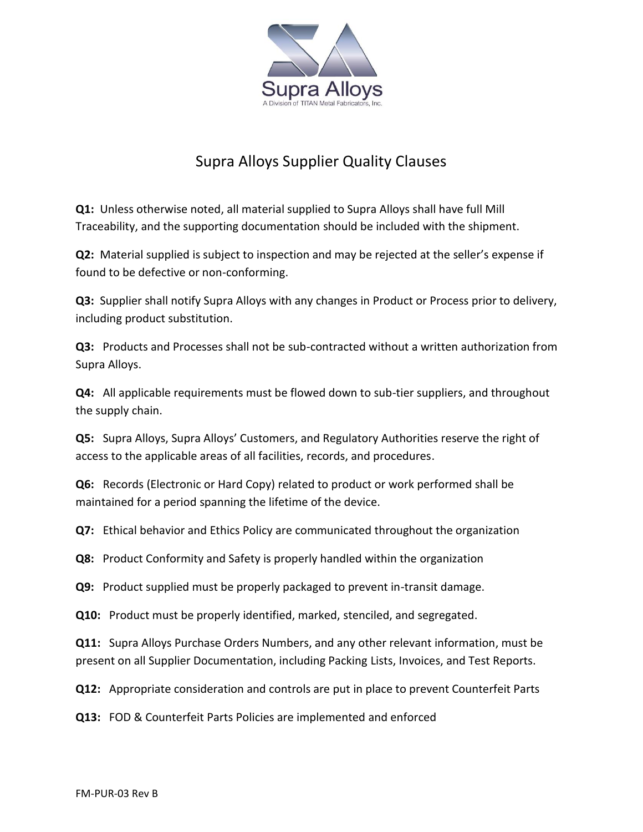

## Supra Alloys Supplier Quality Clauses

**Q1:** Unless otherwise noted, all material supplied to Supra Alloys shall have full Mill Traceability, and the supporting documentation should be included with the shipment.

**Q2:** Material supplied is subject to inspection and may be rejected at the seller's expense if found to be defective or non-conforming.

**Q3:** Supplier shall notify Supra Alloys with any changes in Product or Process prior to delivery, including product substitution.

**Q3:** Products and Processes shall not be sub-contracted without a written authorization from Supra Alloys.

**Q4:** All applicable requirements must be flowed down to sub-tier suppliers, and throughout the supply chain.

**Q5:** Supra Alloys, Supra Alloys' Customers, and Regulatory Authorities reserve the right of access to the applicable areas of all facilities, records, and procedures.

**Q6:** Records (Electronic or Hard Copy) related to product or work performed shall be maintained for a period spanning the lifetime of the device.

**Q7:** Ethical behavior and Ethics Policy are communicated throughout the organization

**Q8:** Product Conformity and Safety is properly handled within the organization

**Q9:** Product supplied must be properly packaged to prevent in-transit damage.

**Q10:** Product must be properly identified, marked, stenciled, and segregated.

**Q11:** Supra Alloys Purchase Orders Numbers, and any other relevant information, must be present on all Supplier Documentation, including Packing Lists, Invoices, and Test Reports.

**Q12:** Appropriate consideration and controls are put in place to prevent Counterfeit Parts

**Q13:** FOD & Counterfeit Parts Policies are implemented and enforced